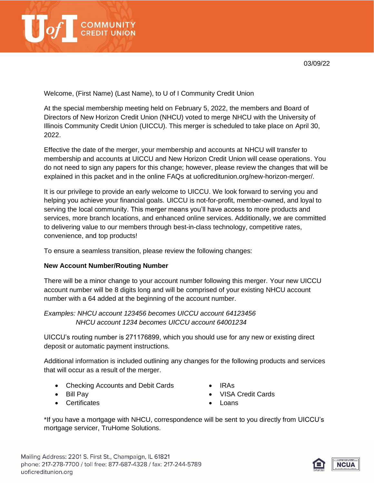

Welcome, (First Name) (Last Name), to U of I Community Credit Union

At the special membership meeting held on February 5, 2022, the members and Board of Directors of New Horizon Credit Union (NHCU) voted to merge NHCU with the University of Illinois Community Credit Union (UICCU). This merger is scheduled to take place on April 30, 2022.

Effective the date of the merger, your membership and accounts at NHCU will transfer to membership and accounts at UICCU and New Horizon Credit Union will cease operations. You do not need to sign any papers for this change; however, please review the changes that will be explained in this packet and in the online FAQs at uoficreditunion.org/new-horizon-merger/.

It is our privilege to provide an early welcome to UICCU. We look forward to serving you and helping you achieve your financial goals. UICCU is not-for-profit, member-owned, and loyal to serving the local community. This merger means you'll have access to more products and services, more branch locations, and enhanced online services. Additionally, we are committed to delivering value to our members through best-in-class technology, competitive rates, convenience, and top products!

To ensure a seamless transition, please review the following changes:

# **New Account Number/Routing Number**

There will be a minor change to your account number following this merger. Your new UICCU account number will be 8 digits long and will be comprised of your existing NHCU account number with a 64 added at the beginning of the account number.

*Examples: NHCU account 123456 becomes UICCU account 64123456 NHCU account 1234 becomes UICCU account 64001234*

UICCU's routing number is 271176899, which you should use for any new or existing direct deposit or automatic payment instructions.

Additional information is included outlining any changes for the following products and services that will occur as a result of the merger.

- Checking Accounts and Debit Cards
- Bill Pay
- Certificates
- IRAs
- VISA Credit Cards
- Loans

\*If you have a mortgage with NHCU, correspondence will be sent to you directly from UICCU's mortgage servicer, TruHome Solutions.

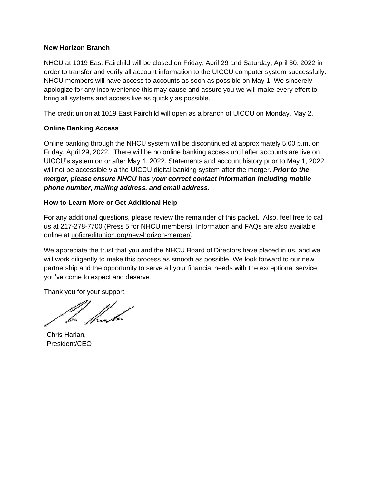### **New Horizon Branch**

NHCU at 1019 East Fairchild will be closed on Friday, April 29 and Saturday, April 30, 2022 in order to transfer and verify all account information to the UICCU computer system successfully. NHCU members will have access to accounts as soon as possible on May 1. We sincerely apologize for any inconvenience this may cause and assure you we will make every effort to bring all systems and access live as quickly as possible.

The credit union at 1019 East Fairchild will open as a branch of UICCU on Monday, May 2.

# **Online Banking Access**

Online banking through the NHCU system will be discontinued at approximately 5:00 p.m. on Friday, April 29, 2022. There will be no online banking access until after accounts are live on UICCU's system on or after May 1, 2022. Statements and account history prior to May 1, 2022 will not be accessible via the UICCU digital banking system after the merger. *Prior to the merger, please ensure NHCU has your correct contact information including mobile phone number, mailing address, and email address.*

# **How to Learn More or Get Additional Help**

For any additional questions, please review the remainder of this packet. Also, feel free to call us at 217-278-7700 (Press 5 for NHCU members). Information and FAQs are also available online at uoficreditunion.org/new-horizon-merger/.

We appreciate the trust that you and the NHCU Board of Directors have placed in us, and we will work diligently to make this process as smooth as possible. We look forward to our new partnership and the opportunity to serve all your financial needs with the exceptional service you've come to expect and deserve.

Thank you for your support,

Chris Harlan, President/CEO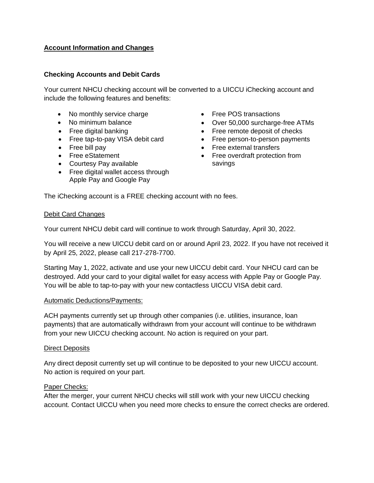# **Account Information and Changes**

## **Checking Accounts and Debit Cards**

Your current NHCU checking account will be converted to a UICCU iChecking account and include the following features and benefits:

- No monthly service charge
- No minimum balance
- Free digital banking
- Free tap-to-pay VISA debit card
- Free bill pay
- Free eStatement
- Courtesy Pay available
- Free digital wallet access through Apple Pay and Google Pay
- Free POS transactions
- Over 50,000 surcharge-free ATMs
- Free remote deposit of checks
- Free person-to-person payments
	- Free external transfers
	- Free overdraft protection from savings

The iChecking account is a FREE checking account with no fees.

#### Debit Card Changes

Your current NHCU debit card will continue to work through Saturday, April 30, 2022.

You will receive a new UICCU debit card on or around April 23, 2022. If you have not received it by April 25, 2022, please call 217-278-7700.

Starting May 1, 2022, activate and use your new UICCU debit card. Your NHCU card can be destroyed. Add your card to your digital wallet for easy access with Apple Pay or Google Pay. You will be able to tap-to-pay with your new contactless UICCU VISA debit card.

#### Automatic Deductions/Payments:

ACH payments currently set up through other companies (i.e. utilities, insurance, loan payments) that are automatically withdrawn from your account will continue to be withdrawn from your new UICCU checking account. No action is required on your part.

#### Direct Deposits

Any direct deposit currently set up will continue to be deposited to your new UICCU account. No action is required on your part.

#### Paper Checks:

After the merger, your current NHCU checks will still work with your new UICCU checking account. Contact UICCU when you need more checks to ensure the correct checks are ordered.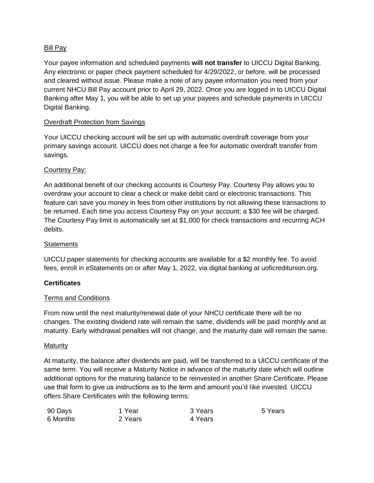# Bill Pay

Your payee information and scheduled payments **will not transfer** to UICCU Digital Banking. Any electronic or paper check payment scheduled for 4/29/2022, or before, will be processed and cleared without issue. Please make a note of any payee information you need from your current NHCU Bill Pay account prior to April 29, 2022. Once you are logged in to UICCU Digital Banking after May 1, you will be able to set up your payees and schedule payments in UICCU Digital Banking.

## Overdraft Protection from Savings

Your UICCU checking account will be set up with automatic overdraft coverage from your primary savings account. UICCU does not charge a fee for automatic overdraft transfer from savings.

# Courtesy Pay:

An additional benefit of our checking accounts is Courtesy Pay. Courtesy Pay allows you to overdraw your account to clear a check or make debit card or electronic transactions. This feature can save you money in fees from other institutions by not allowing these transactions to be returned. Each time you access Courtesy Pay on your account; a \$30 fee will be charged. The Courtesy Pay limit is automatically set at \$1,000 for check transactions and recurring ACH debits.

## **Statements**

UICCU paper statements for checking accounts are available for a \$2 monthly fee. To avoid fees, enroll in eStatements on or after May 1, 2022, via digital banking at uoficreditunion.org.

## **Certificates**

## Terms and Conditions

From now until the next maturity/renewal date of your NHCU certificate there will be no changes. The existing dividend rate will remain the same, dividends will be paid monthly and at maturity. Early withdrawal penalties will not change, and the maturity date will remain the same.

## Maturity

At maturity, the balance after dividends are paid, will be transferred to a UICCU certificate of the same term. You will receive a Maturity Notice in advance of the maturity date which will outline additional options for the maturing balance to be reinvested in another Share Certificate. Please use that form to give us instructions as to the term and amount you'd like invested. UICCU offers Share Certificates with the following terms:

| 90 Days  | 1 Year  | 3 Years | 5 Years |
|----------|---------|---------|---------|
| 6 Months | 2 Years | 4 Years |         |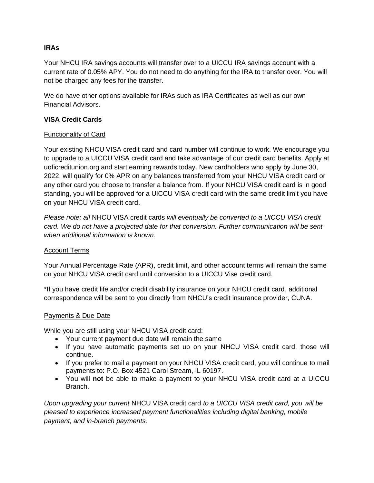# **IRAs**

Your NHCU IRA savings accounts will transfer over to a UICCU IRA savings account with a current rate of 0.05% APY. You do not need to do anything for the IRA to transfer over. You will not be charged any fees for the transfer.

We do have other options available for IRAs such as IRA Certificates as well as our own Financial Advisors.

## **VISA Credit Cards**

# Functionality of Card

Your existing NHCU VISA credit card and card number will continue to work. We encourage you to upgrade to a UICCU VISA credit card and take advantage of our credit card benefits. Apply at uoficreditunion.org and start earning rewards today. New cardholders who apply by June 30, 2022, will qualify for 0% APR on any balances transferred from your NHCU VISA credit card or any other card you choose to transfer a balance from. If your NHCU VISA credit card is in good standing, you will be approved for a UICCU VISA credit card with the same credit limit you have on your NHCU VISA credit card.

*Please note: all* NHCU VISA credit cards *will eventually be converted to a UICCU VISA credit card. We do not have a projected date for that conversion. Further communication will be sent when additional information is known.*

## Account Terms

Your Annual Percentage Rate (APR), credit limit, and other account terms will remain the same on your NHCU VISA credit card until conversion to a UICCU Vise credit card.

\*If you have credit life and/or credit disability insurance on your NHCU credit card, additional correspondence will be sent to you directly from NHCU's credit insurance provider, CUNA.

## Payments & Due Date

While you are still using your NHCU VISA credit card:

- Your current payment due date will remain the same
- If you have automatic payments set up on your NHCU VISA credit card, those will continue.
- If you prefer to mail a payment on your NHCU VISA credit card, you will continue to mail payments to: P.O. Box 4521 Carol Stream, IL 60197.
- You will **not** be able to make a payment to your NHCU VISA credit card at a UICCU Branch.

*Upon upgrading your current* NHCU VISA credit card *to a UICCU VISA credit card, you will be pleased to experience increased payment functionalities including digital banking, mobile payment, and in-branch payments.*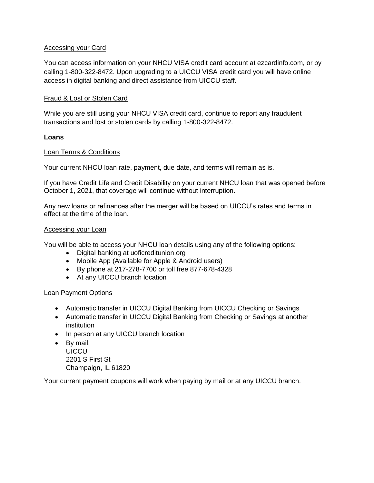## Accessing your Card

You can access information on your NHCU VISA credit card account at ezcardinfo.com, or by calling 1-800-322-8472. Upon upgrading to a UICCU VISA credit card you will have online access in digital banking and direct assistance from UICCU staff.

### Fraud & Lost or Stolen Card

While you are still using your NHCU VISA credit card, continue to report any fraudulent transactions and lost or stolen cards by calling 1-800-322-8472.

### **Loans**

### Loan Terms & Conditions

Your current NHCU loan rate, payment, due date, and terms will remain as is.

If you have Credit Life and Credit Disability on your current NHCU loan that was opened before October 1, 2021, that coverage will continue without interruption.

Any new loans or refinances after the merger will be based on UICCU's rates and terms in effect at the time of the loan.

#### Accessing your Loan

You will be able to access your NHCU loan details using any of the following options:

- Digital banking at uoficreditunion.org
- Mobile App (Available for Apple & Android users)
- By phone at 217-278-7700 or toll free 877-678-4328
- At any UICCU branch location

## Loan Payment Options

- Automatic transfer in UICCU Digital Banking from UICCU Checking or Savings
- Automatic transfer in UICCU Digital Banking from Checking or Savings at another institution
- In person at any UICCU branch location
- By mail: **UICCU** 2201 S First St Champaign, IL 61820

Your current payment coupons will work when paying by mail or at any UICCU branch.